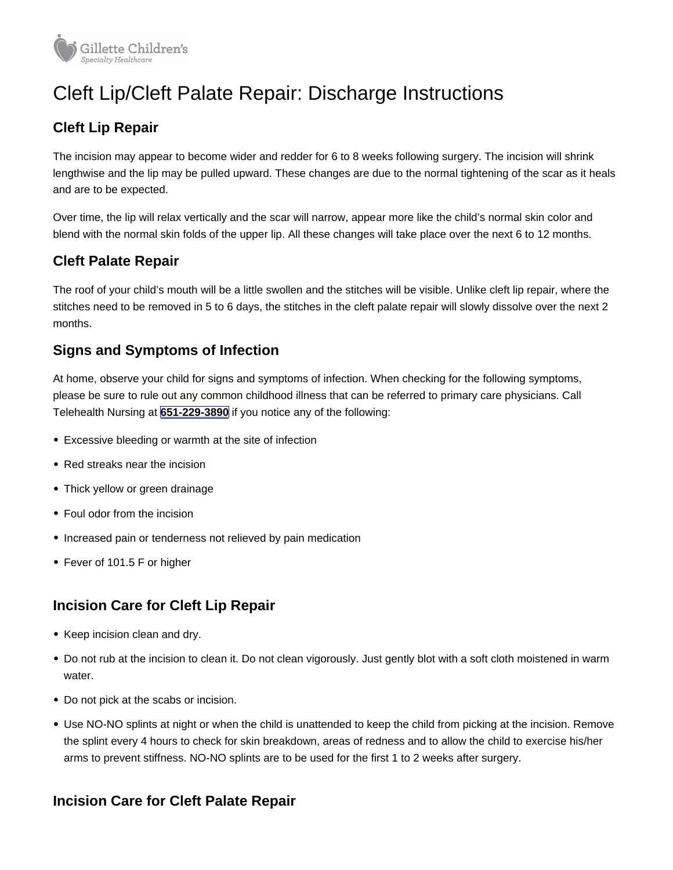# Cleft Lip/Cleft Palate Repair: Discharge Instructions

# Cleft Lip Repair

The incision may appear to become wider and redder for 6 to 8 weeks following surgery. The incision will shrink lengthwise and the lip may be pulled upward. These changes are due to the normal tightening of the scar as it heals and are to be expected.

Over time, the lip will relax vertically and the scar will narrow, appear more like the child's normal skin color and blend with the normal skin folds of the upper lip. All these changes will take place over the next 6 to 12 months.

## Cleft Palate Repair

The roof of your child's mouth will be a little swollen and the stitches will be visible. Unlike cleft lip repair, where the stitches need to be removed in 5 to 6 days, the stitches in the cleft palate repair will slowly dissolve over the next 2 months.

#### Signs and Symptoms of Infection

At home, observe your child for signs and symptoms of infection. When checking for the following symptoms, please be sure to rule out any common childhood illness that can be referred to primary care physicians. Call Telehealth Nursing at [651-229-3890](tel:+16512293890) if you notice any of the following:

- Excessive bleeding or warmth at the site of infection
- Red streaks near the incision
- Thick yellow or green drainage
- Foul odor from the incision
- Increased pain or tenderness not relieved by pain medication
- Fever of 101.5 F or higher

#### Incision Care for Cleft Lip Repair

- Keep incision clean and dry.
- Do not rub at the incision to clean it. Do not clean vigorously. Just gently blot with a soft cloth moistened in warm water.
- Do not pick at the scabs or incision.
- Use NO-NO splints at night or when the child is unattended to keep the child from picking at the incision. Remove the splint every 4 hours to check for skin breakdown, areas of redness and to allow the child to exercise his/her arms to prevent stiffness. NO-NO splints are to be used for the first 1 to 2 weeks after surgery.

#### Incision Care for Cleft Palate Repair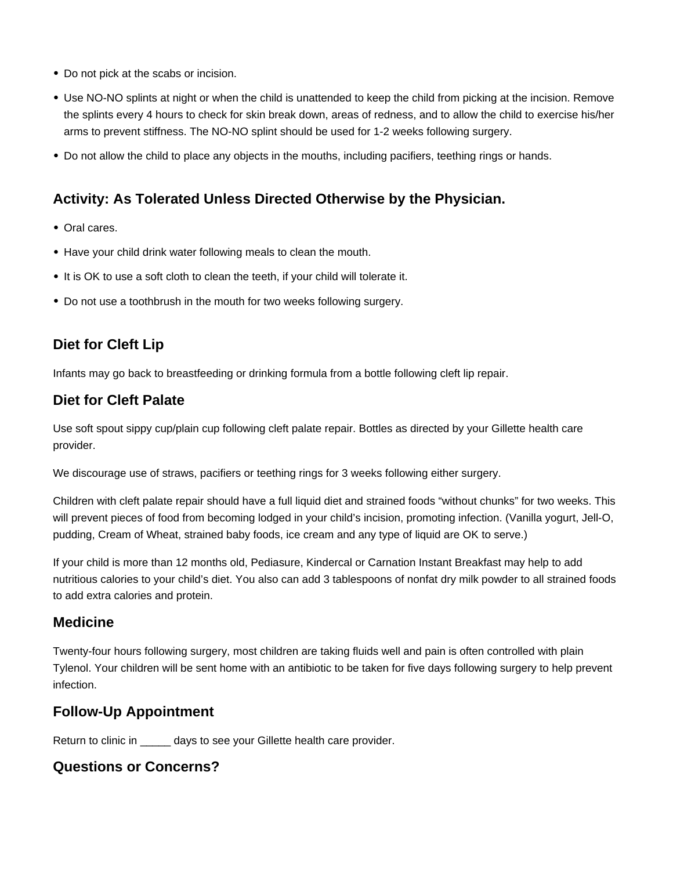- Do not pick at the scabs or incision.
- Use NO-NO splints at night or when the child is unattended to keep the child from picking at the incision. Remove the splints every 4 hours to check for skin break down, areas of redness, and to allow the child to exercise his/her arms to prevent stiffness. The NO-NO splint should be used for 1-2 weeks following surgery.
- Do not allow the child to place any objects in the mouths, including pacifiers, teething rings or hands.

### **Activity: As Tolerated Unless Directed Otherwise by the Physician.**

- Oral cares.
- Have your child drink water following meals to clean the mouth.
- It is OK to use a soft cloth to clean the teeth, if your child will tolerate it.
- Do not use a toothbrush in the mouth for two weeks following surgery.

# **Diet for Cleft Lip**

Infants may go back to breastfeeding or drinking formula from a bottle following cleft lip repair.

## **Diet for Cleft Palate**

Use soft spout sippy cup/plain cup following cleft palate repair. Bottles as directed by your Gillette health care provider.

We discourage use of straws, pacifiers or teething rings for 3 weeks following either surgery.

Children with cleft palate repair should have a full liquid diet and strained foods "without chunks" for two weeks. This will prevent pieces of food from becoming lodged in your child's incision, promoting infection. (Vanilla yogurt, Jell-O, pudding, Cream of Wheat, strained baby foods, ice cream and any type of liquid are OK to serve.)

If your child is more than 12 months old, Pediasure, Kindercal or Carnation Instant Breakfast may help to add nutritious calories to your child's diet. You also can add 3 tablespoons of nonfat dry milk powder to all strained foods to add extra calories and protein.

#### **Medicine**

Twenty-four hours following surgery, most children are taking fluids well and pain is often controlled with plain Tylenol. Your children will be sent home with an antibiotic to be taken for five days following surgery to help prevent infection.

#### **Follow-Up Appointment**

Return to clinic in \_\_\_\_\_ days to see your Gillette health care provider.

#### **Questions or Concerns?**